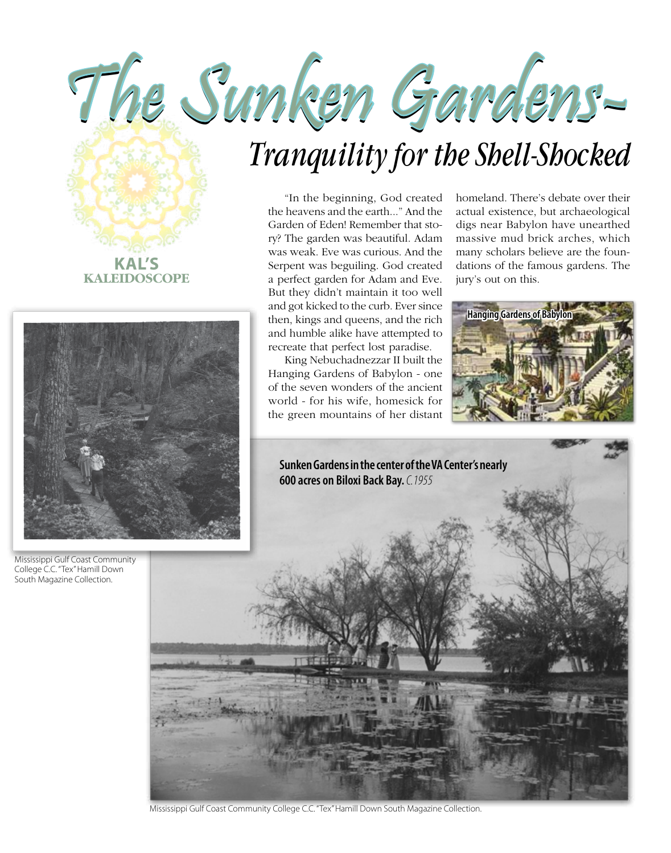

## *Tranquility for the Shell-Shocked*

"In the beginning, God created the heavens and the earth..." And the Garden of Eden! Remember that story? The garden was beautiful. Adam was weak. Eve was curious. And the Serpent was beguiling. God created a perfect garden for Adam and Eve. But they didn't maintain it too well and got kicked to the curb. Ever since then, kings and queens, and the rich and humble alike have attempted to recreate that perfect lost paradise.

King Nebuchadnezzar II built the Hanging Gardens of Babylon - one of the seven wonders of the ancient world - for his wife, homesick for the green mountains of her distant homeland. There's debate over their actual existence, but archaeological digs near Babylon have unearthed massive mud brick arches, which many scholars believe are the foundations of the famous gardens. The jury's out on this.





Mississippi Gulf Coast Community College C.C. "Tex" Hamill Down South Magazine Collection.





Mississippi Gulf Coast Community College C.C. "Tex" Hamill Down South Magazine Collection.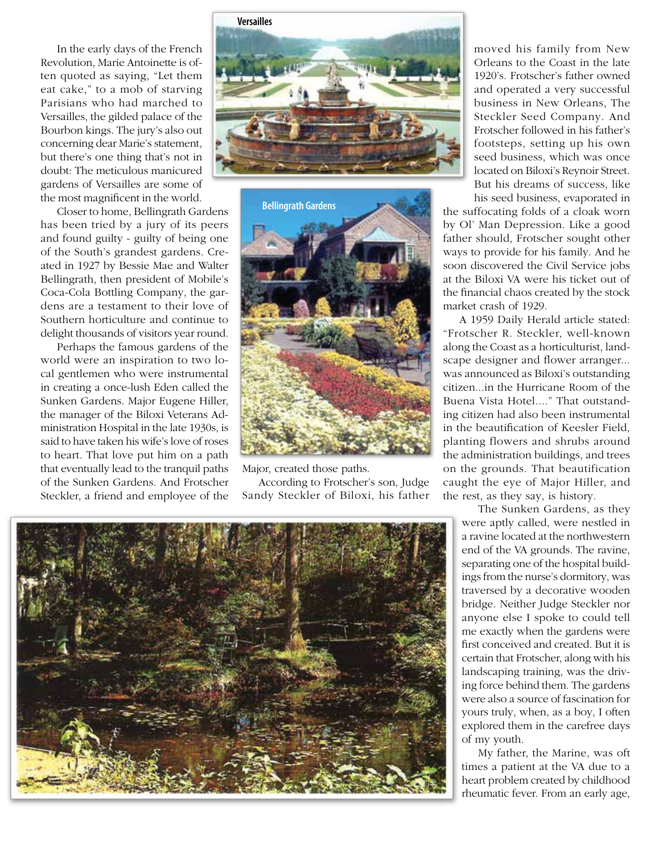In the early days of the French Revolution, Marie Antoinette is often quoted as saying, "Let them eat cake," to a mob of starving Parisians who had marched to Versailles, the gilded palace of the Bourbon kings. The jury's also out concerning dear Marie's statement, but there's one thing that's not in doubt: The meticulous manicured gardens of Versailles are some of the most magnificent in the world.

Closer to home, Bellingrath Gardens has been tried by a jury of its peers and found guilty - guilty of being one of the South's grandest gardens. Created in 1927 by Bessie Mae and Walter Bellingrath, then president of Mobile's Coca-Cola Bottling Company, the gardens are a testament to their love of Southern horticulture and continue to delight thousands of visitors year round.

Perhaps the famous gardens of the world were an inspiration to two local gentlemen who were instrumental in creating a once-lush Eden called the Sunken Gardens. Major Eugene Hiller, the manager of the Biloxi Veterans Administration Hospital in the late 1930s, is said to have taken his wife's love of roses to heart. That love put him on a path that eventually lead to the tranquil paths of the Sunken Gardens. And Frotscher Steckler, a friend and employee of the





Major, created those paths.

According to Frotscher's son, Judge Sandy Steckler of Biloxi, his father

moved his family from New Orleans to the Coast in the late 1920's. Frotscher's father owned and operated a very successful business in New Orleans, The Steckler Seed Company. And Frotscher followed in his father's footsteps, setting up his own seed business, which was once located on Biloxi's Reynoir Street. But his dreams of success, like his seed business, evaporated in

the suffocating folds of a cloak worn by Ol' Man Depression. Like a good father should, Frotscher sought other ways to provide for his family. And he soon discovered the Civil Service jobs at the Biloxi VA were his ticket out of the financial chaos created by the stock market crash of 1929.

A 1959 Daily Herald article stated: "Frotscher R. Steckler, well-known along the Coast as a horticulturist, landscape designer and flower arranger... was announced as Biloxi's outstanding citizen...in the Hurricane Room of the Buena Vista Hotel...." That outstanding citizen had also been instrumental in the beautification of Keesler Field, planting flowers and shrubs around the administration buildings, and trees on the grounds. That beautification caught the eye of Major Hiller, and the rest, as they say, is history.

The Sunken Gardens, as they were aptly called, were nestled in a ravine located at the northwestern end of the VA grounds. The ravine, separating one of the hospital buildings from the nurse's dormitory, was traversed by a decorative wooden bridge. Neither Judge Steckler nor anyone else I spoke to could tell me exactly when the gardens were first conceived and created. But it is certain that Frotscher, along with his landscaping training, was the driving force behind them. The gardens were also a source of fascination for yours truly, when, as a boy, I often explored them in the carefree days of my youth.

My father, the Marine, was oft times a patient at the VA due to a heart problem created by childhood rheumatic fever. From an early age,